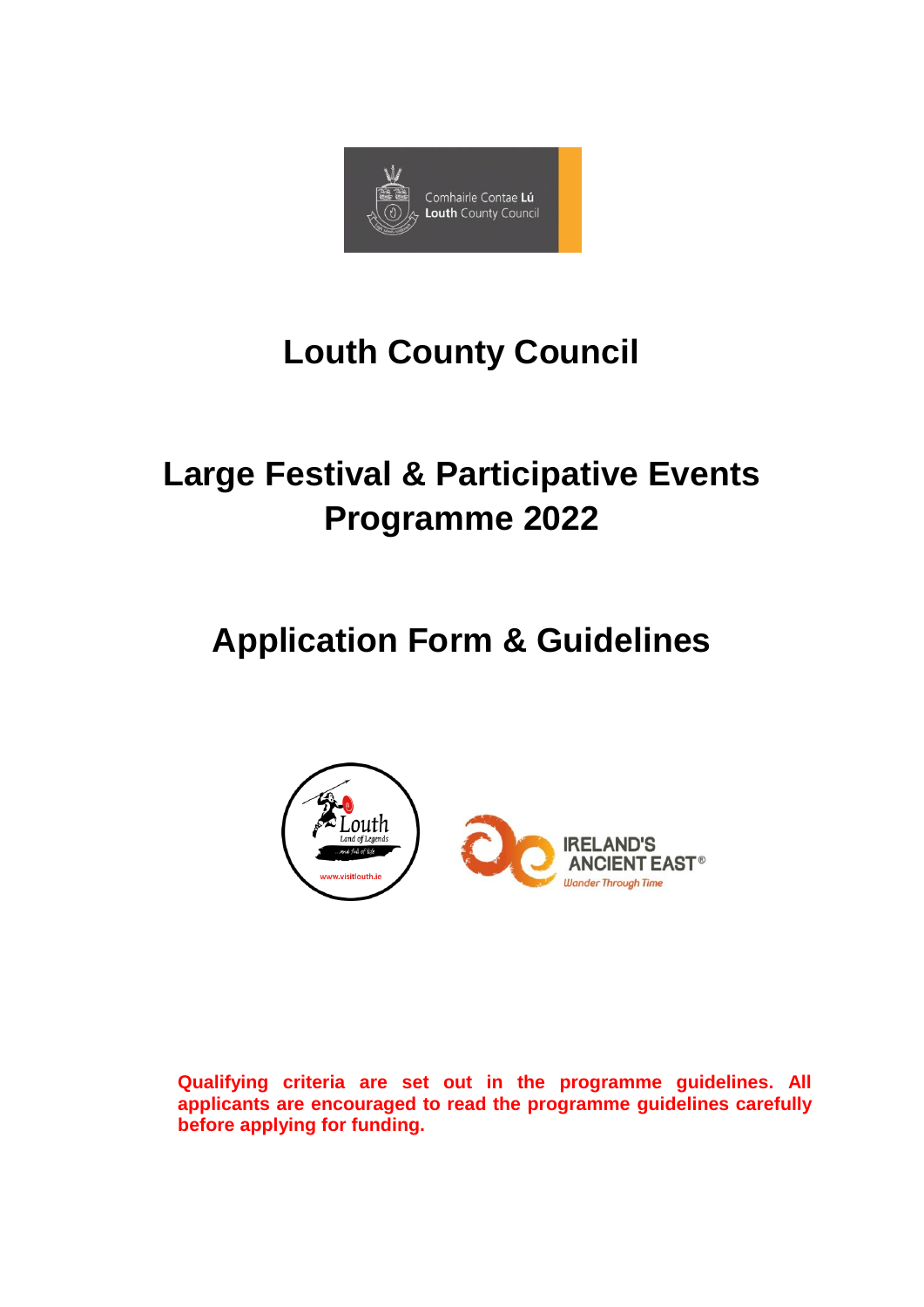

# **Louth County Council**

# **Large Festival & Participative Events Programme 2022**

# **Application Form & Guidelines**



**Qualifying criteria are set out in the programme guidelines. All applicants are encouraged to read the programme guidelines carefully before applying for funding.**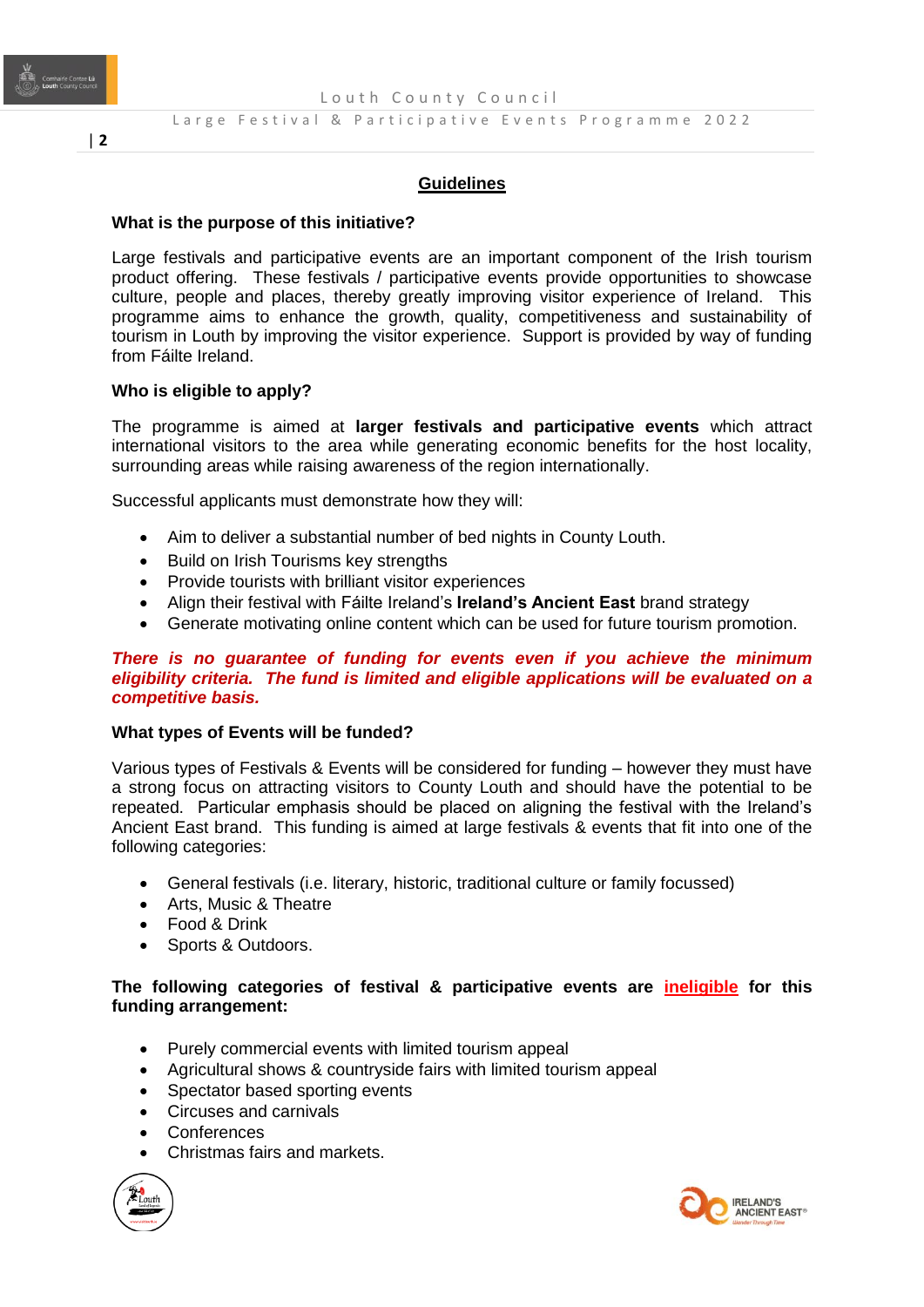

#### **Guidelines**

#### **What is the purpose of this initiative?**

Large festivals and participative events are an important component of the Irish tourism product offering. These festivals / participative events provide opportunities to showcase culture, people and places, thereby greatly improving visitor experience of Ireland. This programme aims to enhance the growth, quality, competitiveness and sustainability of tourism in Louth by improving the visitor experience. Support is provided by way of funding from Fáilte Ireland.

#### **Who is eligible to apply?**

The programme is aimed at **larger festivals and participative events** which attract international visitors to the area while generating economic benefits for the host locality, surrounding areas while raising awareness of the region internationally.

Successful applicants must demonstrate how they will:

- Aim to deliver a substantial number of bed nights in County Louth.
- **•** Build on Irish Tourisms key strengths
- Provide tourists with brilliant visitor experiences
- Align their festival with Fáilte Ireland's **Ireland's Ancient East** brand strategy
- Generate motivating online content which can be used for future tourism promotion.

#### *There is no guarantee of funding for events even if you achieve the minimum eligibility criteria. The fund is limited and eligible applications will be evaluated on a competitive basis.*

#### **What types of Events will be funded?**

Various types of Festivals & Events will be considered for funding – however they must have a strong focus on attracting visitors to County Louth and should have the potential to be repeated. Particular emphasis should be placed on aligning the festival with the Ireland's Ancient East brand. This funding is aimed at large festivals & events that fit into one of the following categories:

- General festivals (i.e. literary, historic, traditional culture or family focussed)
- Arts, Music & Theatre
- Food & Drink
- Sports & Outdoors.

#### **The following categories of festival & participative events are ineligible for this funding arrangement:**

- Purely commercial events with limited tourism appeal
- Agricultural shows & countryside fairs with limited tourism appeal
- Spectator based sporting events
- Circuses and carnivals
- **Conferences**
- Christmas fairs and markets.



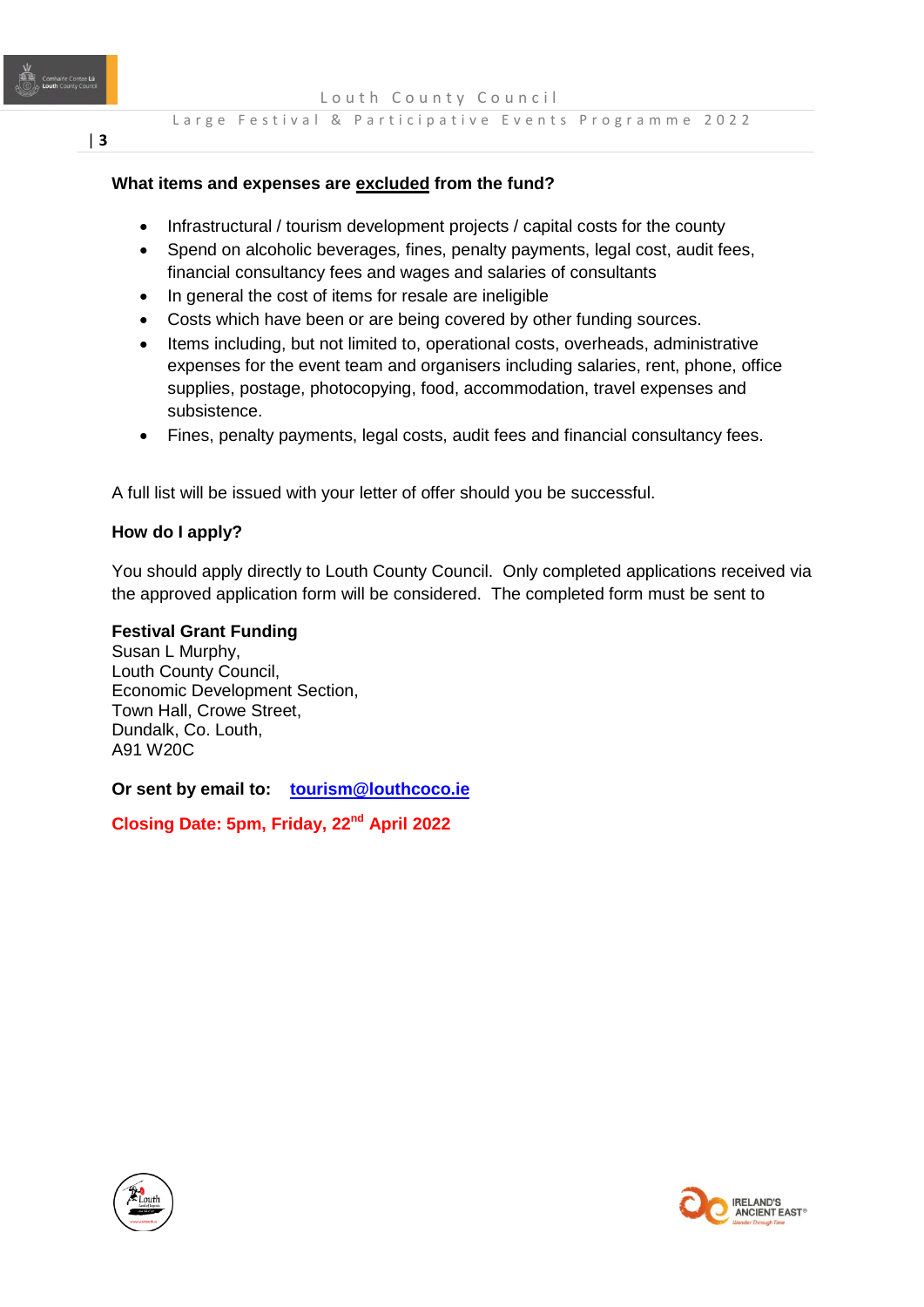Louth County Council

# **What items and expenses are excluded from the fund?**

- Infrastructural / tourism development projects / capital costs for the county
- Spend on alcoholic beverages*,* fines, penalty payments, legal cost, audit fees, financial consultancy fees and wages and salaries of consultants
- In general the cost of items for resale are ineligible
- Costs which have been or are being covered by other funding sources.
- Items including, but not limited to, operational costs, overheads, administrative expenses for the event team and organisers including salaries, rent, phone, office supplies, postage, photocopying, food, accommodation, travel expenses and subsistence.
- Fines, penalty payments, legal costs, audit fees and financial consultancy fees.

A full list will be issued with your letter of offer should you be successful.

# **How do I apply?**

You should apply directly to Louth County Council. Only completed applications received via the approved application form will be considered. The completed form must be sent to

# **Festival Grant Funding**

Susan L Murphy, Louth County Council, Economic Development Section, Town Hall, Crowe Street, Dundalk, Co. Louth, A91 W20C

**Or sent by email to: [tourism@louthcoco.ie](mailto:tourism@louthcoco.ie)**

**Closing Date: 5pm, Friday, 22nd April 2022**



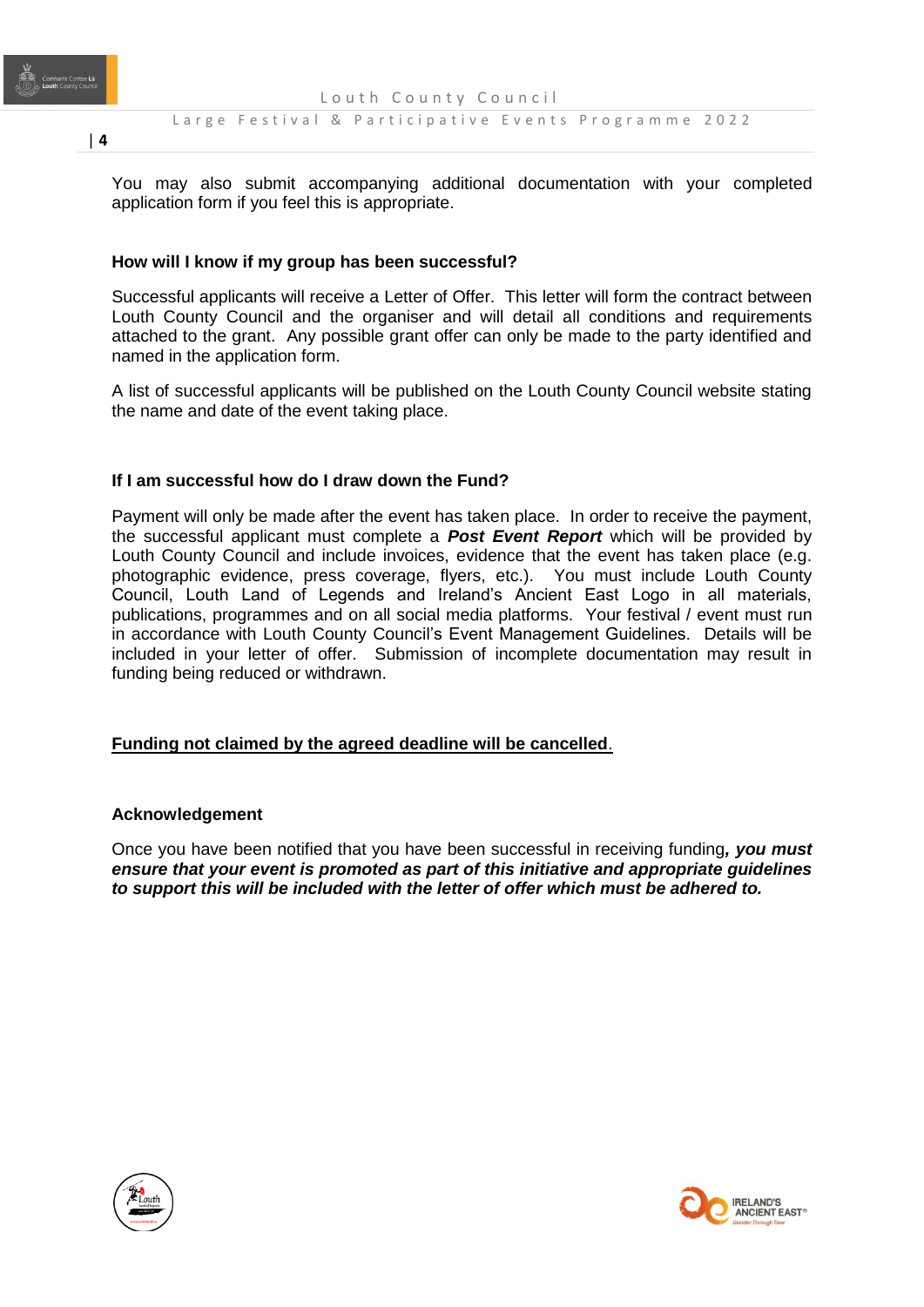

You may also submit accompanying additional documentation with your completed application form if you feel this is appropriate.

# **How will I know if my group has been successful?**

Successful applicants will receive a Letter of Offer. This letter will form the contract between Louth County Council and the organiser and will detail all conditions and requirements attached to the grant. Any possible grant offer can only be made to the party identified and named in the application form.

A list of successful applicants will be published on the Louth County Council website stating the name and date of the event taking place.

# **If I am successful how do I draw down the Fund?**

Payment will only be made after the event has taken place. In order to receive the payment, the successful applicant must complete a *Post Event Report* which will be provided by Louth County Council and include invoices, evidence that the event has taken place (e.g. photographic evidence, press coverage, flyers, etc.). You must include Louth County Council, Louth Land of Legends and Ireland's Ancient East Logo in all materials, publications, programmes and on all social media platforms. Your festival / event must run in accordance with Louth County Council's Event Management Guidelines. Details will be included in your letter of offer. Submission of incomplete documentation may result in funding being reduced or withdrawn.

# **Funding not claimed by the agreed deadline will be cancelled**.

#### **Acknowledgement**

Once you have been notified that you have been successful in receiving funding*, you must ensure that your event is promoted as part of this initiative and appropriate guidelines to support this will be included with the letter of offer which must be adhered to.* 





| **4**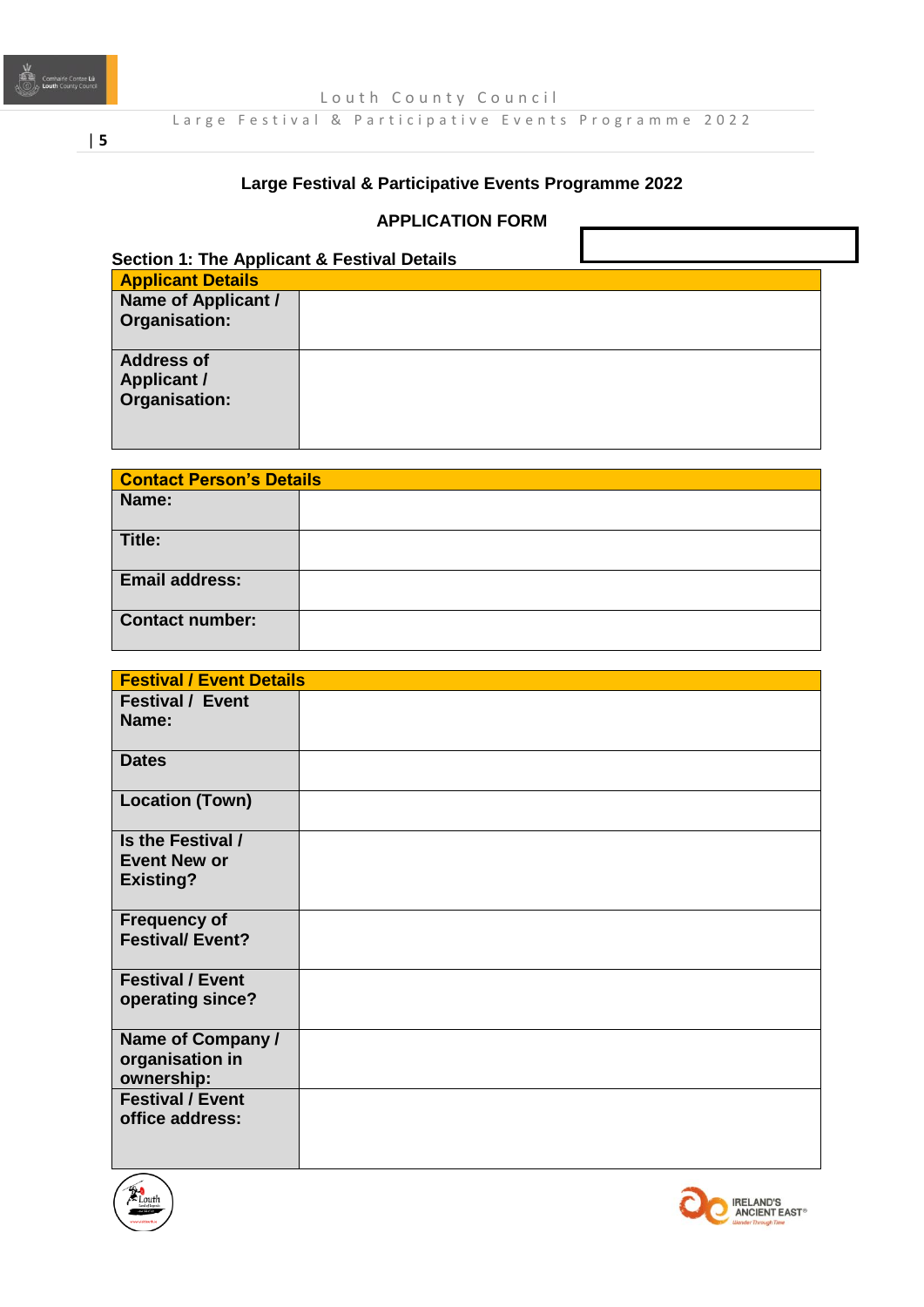

Louth County Council

Large Festival & Participative Events Programme 2022

# | **5**

# **Large Festival & Participative Events Programme 2022**

# **APPLICATION FORM**

| <b>Applicant Details</b> |  |  |
|--------------------------|--|--|
| Name of Applicant /      |  |  |
| Organisation:            |  |  |
| <b>Address of</b>        |  |  |
| <b>Applicant /</b>       |  |  |
| <b>Organisation:</b>     |  |  |

п

٦

| <b>Contact Person's Details</b> |  |
|---------------------------------|--|
| Name:                           |  |
| Title:                          |  |
| <b>Email address:</b>           |  |
| <b>Contact number:</b>          |  |

| <b>Festival / Event Details</b> |  |
|---------------------------------|--|
| <b>Festival / Event</b>         |  |
| Name:                           |  |
|                                 |  |
| <b>Dates</b>                    |  |
| <b>Location (Town)</b>          |  |
| Is the Festival /               |  |
| <b>Event New or</b>             |  |
| <b>Existing?</b>                |  |
|                                 |  |
| <b>Frequency of</b>             |  |
| <b>Festival/Event?</b>          |  |
| <b>Festival / Event</b>         |  |
| operating since?                |  |
|                                 |  |
| Name of Company /               |  |
| organisation in<br>ownership:   |  |
| <b>Festival / Event</b>         |  |
| office address:                 |  |
|                                 |  |
|                                 |  |



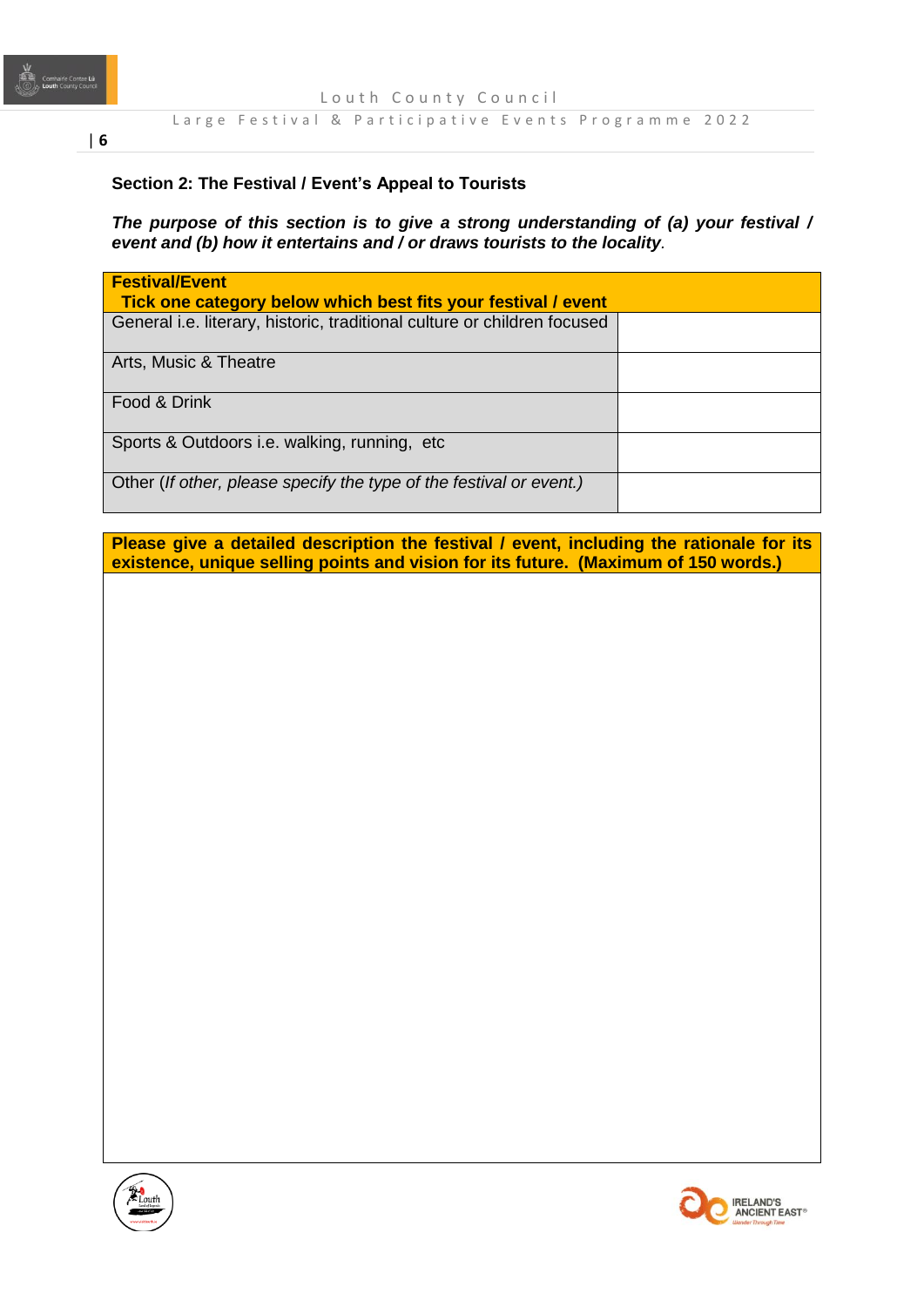

Louth County Council

#### Large Festival & Participative Events Programme 2022

# **Section 2: The Festival / Event's Appeal to Tourists**

*The purpose of this section is to give a strong understanding of (a) your festival / event and (b) how it entertains and / or draws tourists to the locality.* 

|                       | General i.e. literary, historic, traditional culture or children focused |  |  |
|-----------------------|--------------------------------------------------------------------------|--|--|
| Arts, Music & Theatre |                                                                          |  |  |
| Food & Drink          |                                                                          |  |  |
|                       | Sports & Outdoors i.e. walking, running, etc.                            |  |  |

**Please give a detailed description the festival / event, including the rationale for its existence, unique selling points and vision for its future. (Maximum of 150 words.)**



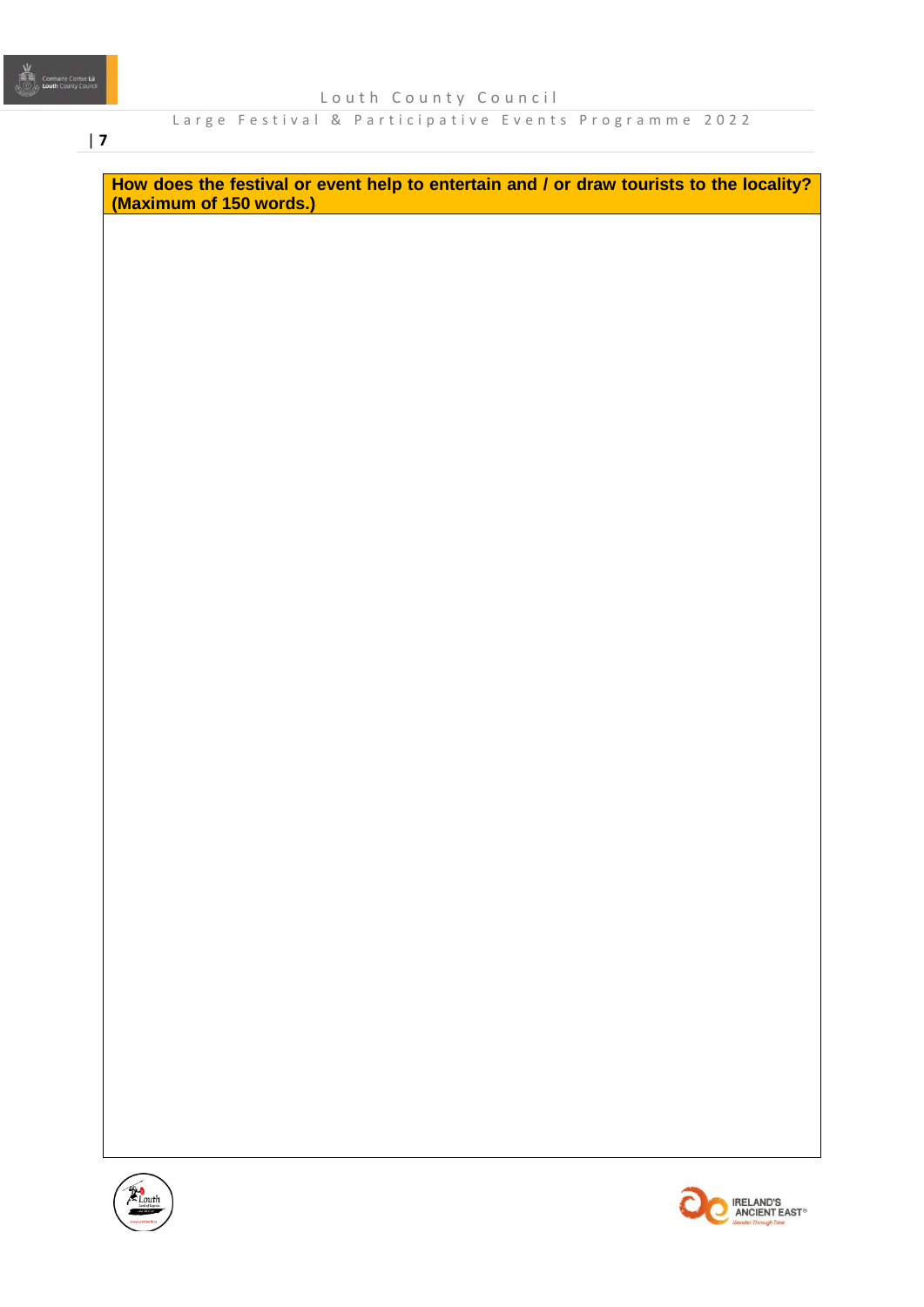# | **7**

**How does the festival or event help to entertain and / or draw tourists to the locality? (Maximum of 150 words.)**



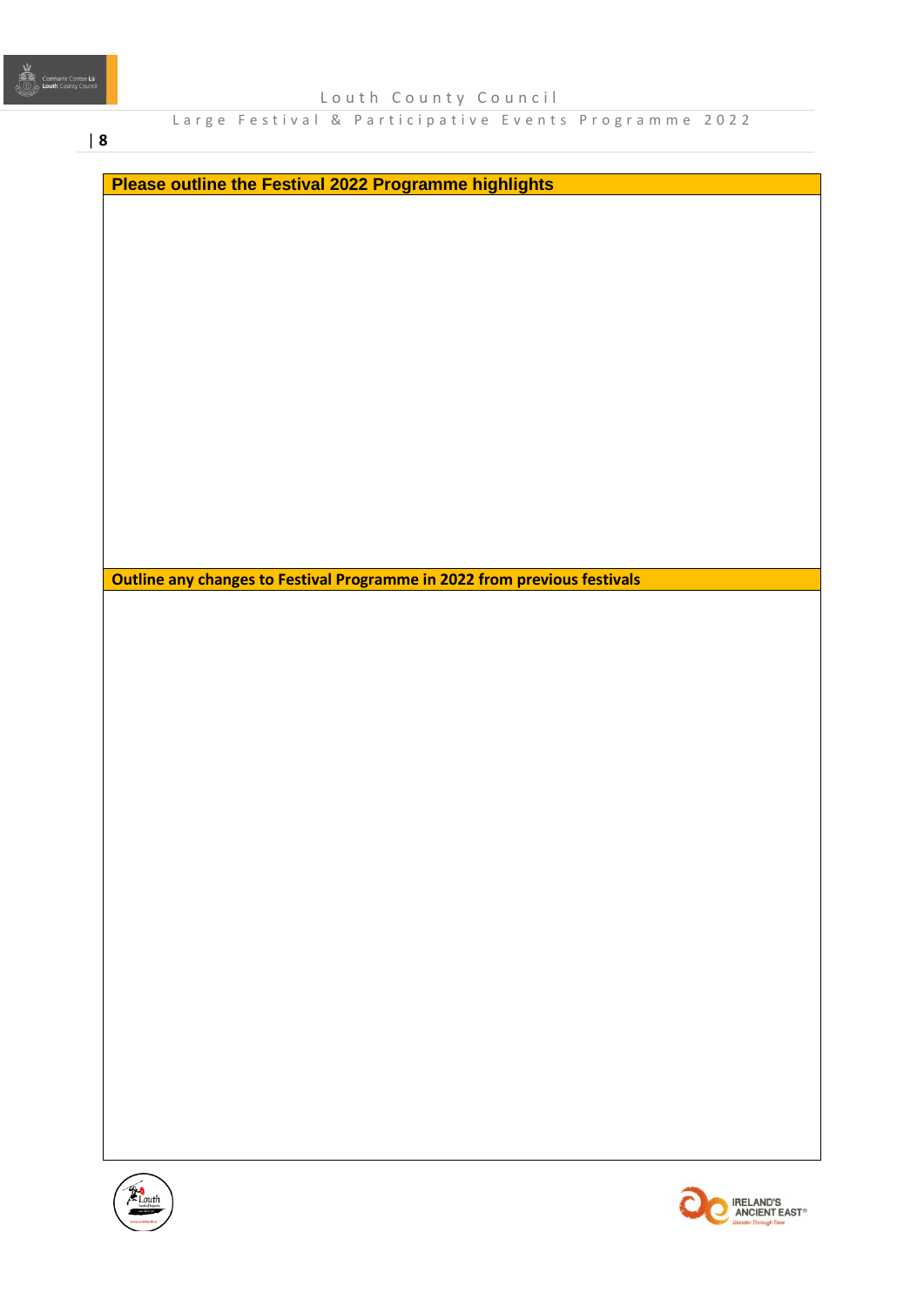| **8**

**Please outline the Festival 2022 Programme highlights**

**Outline any changes to Festival Programme in 2022 from previous festivals** 



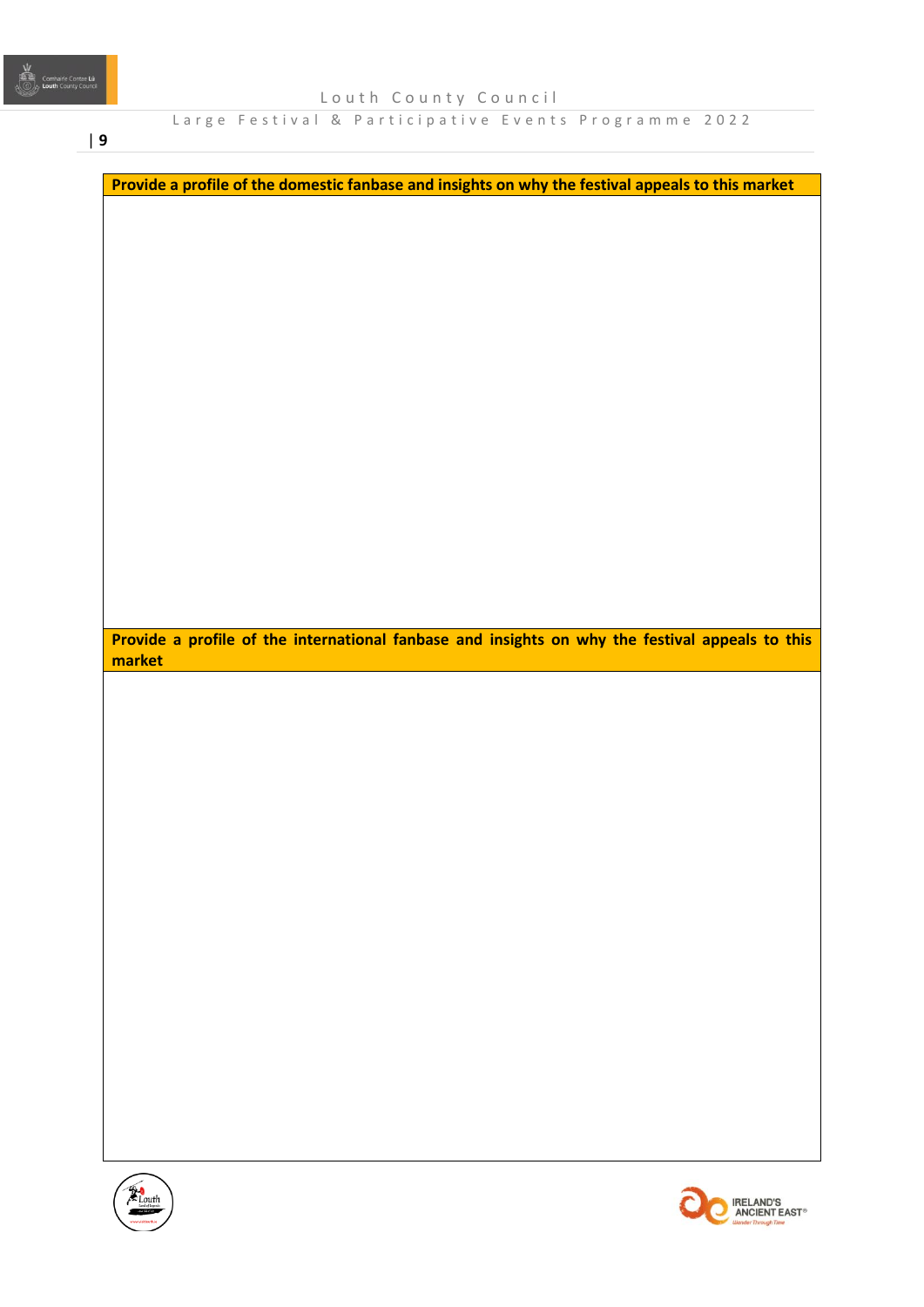| **9**

| Provide a profile of the domestic fanbase and insights on why the festival appeals to this market                                                                                                                                                                                                                                            |  |  |                                                    |
|----------------------------------------------------------------------------------------------------------------------------------------------------------------------------------------------------------------------------------------------------------------------------------------------------------------------------------------------|--|--|----------------------------------------------------|
|                                                                                                                                                                                                                                                                                                                                              |  |  |                                                    |
|                                                                                                                                                                                                                                                                                                                                              |  |  |                                                    |
|                                                                                                                                                                                                                                                                                                                                              |  |  |                                                    |
|                                                                                                                                                                                                                                                                                                                                              |  |  |                                                    |
|                                                                                                                                                                                                                                                                                                                                              |  |  |                                                    |
|                                                                                                                                                                                                                                                                                                                                              |  |  |                                                    |
|                                                                                                                                                                                                                                                                                                                                              |  |  |                                                    |
|                                                                                                                                                                                                                                                                                                                                              |  |  |                                                    |
|                                                                                                                                                                                                                                                                                                                                              |  |  |                                                    |
|                                                                                                                                                                                                                                                                                                                                              |  |  |                                                    |
|                                                                                                                                                                                                                                                                                                                                              |  |  |                                                    |
|                                                                                                                                                                                                                                                                                                                                              |  |  |                                                    |
|                                                                                                                                                                                                                                                                                                                                              |  |  |                                                    |
|                                                                                                                                                                                                                                                                                                                                              |  |  |                                                    |
|                                                                                                                                                                                                                                                                                                                                              |  |  |                                                    |
|                                                                                                                                                                                                                                                                                                                                              |  |  |                                                    |
|                                                                                                                                                                                                                                                                                                                                              |  |  |                                                    |
|                                                                                                                                                                                                                                                                                                                                              |  |  |                                                    |
|                                                                                                                                                                                                                                                                                                                                              |  |  |                                                    |
|                                                                                                                                                                                                                                                                                                                                              |  |  |                                                    |
|                                                                                                                                                                                                                                                                                                                                              |  |  |                                                    |
| Provide a profile of the international fanbase and insights on why the festival appeals to this                                                                                                                                                                                                                                              |  |  |                                                    |
| market                                                                                                                                                                                                                                                                                                                                       |  |  |                                                    |
|                                                                                                                                                                                                                                                                                                                                              |  |  |                                                    |
|                                                                                                                                                                                                                                                                                                                                              |  |  |                                                    |
|                                                                                                                                                                                                                                                                                                                                              |  |  |                                                    |
|                                                                                                                                                                                                                                                                                                                                              |  |  |                                                    |
|                                                                                                                                                                                                                                                                                                                                              |  |  |                                                    |
|                                                                                                                                                                                                                                                                                                                                              |  |  |                                                    |
|                                                                                                                                                                                                                                                                                                                                              |  |  |                                                    |
|                                                                                                                                                                                                                                                                                                                                              |  |  |                                                    |
|                                                                                                                                                                                                                                                                                                                                              |  |  |                                                    |
|                                                                                                                                                                                                                                                                                                                                              |  |  |                                                    |
|                                                                                                                                                                                                                                                                                                                                              |  |  |                                                    |
|                                                                                                                                                                                                                                                                                                                                              |  |  |                                                    |
|                                                                                                                                                                                                                                                                                                                                              |  |  |                                                    |
|                                                                                                                                                                                                                                                                                                                                              |  |  |                                                    |
|                                                                                                                                                                                                                                                                                                                                              |  |  |                                                    |
|                                                                                                                                                                                                                                                                                                                                              |  |  |                                                    |
|                                                                                                                                                                                                                                                                                                                                              |  |  |                                                    |
|                                                                                                                                                                                                                                                                                                                                              |  |  |                                                    |
|                                                                                                                                                                                                                                                                                                                                              |  |  |                                                    |
|                                                                                                                                                                                                                                                                                                                                              |  |  |                                                    |
|                                                                                                                                                                                                                                                                                                                                              |  |  |                                                    |
|                                                                                                                                                                                                                                                                                                                                              |  |  |                                                    |
|                                                                                                                                                                                                                                                                                                                                              |  |  |                                                    |
|                                                                                                                                                                                                                                                                                                                                              |  |  |                                                    |
|                                                                                                                                                                                                                                                                                                                                              |  |  |                                                    |
|                                                                                                                                                                                                                                                                                                                                              |  |  |                                                    |
|                                                                                                                                                                                                                                                                                                                                              |  |  | <b>IRELAND'S</b>                                   |
| $\begin{picture}(120,10) \put(0,0){\line(1,0){155}} \put(15,0){\line(1,0){155}} \put(15,0){\line(1,0){155}} \put(15,0){\line(1,0){155}} \put(15,0){\line(1,0){155}} \put(15,0){\line(1,0){155}} \put(15,0){\line(1,0){155}} \put(15,0){\line(1,0){155}} \put(15,0){\line(1,0){155}} \put(15,0){\line(1,0){155}} \put(15,0){\line(1,0){155}}$ |  |  | <b>ANCIENT EAST®</b><br><b>Wander Through Time</b> |
|                                                                                                                                                                                                                                                                                                                                              |  |  |                                                    |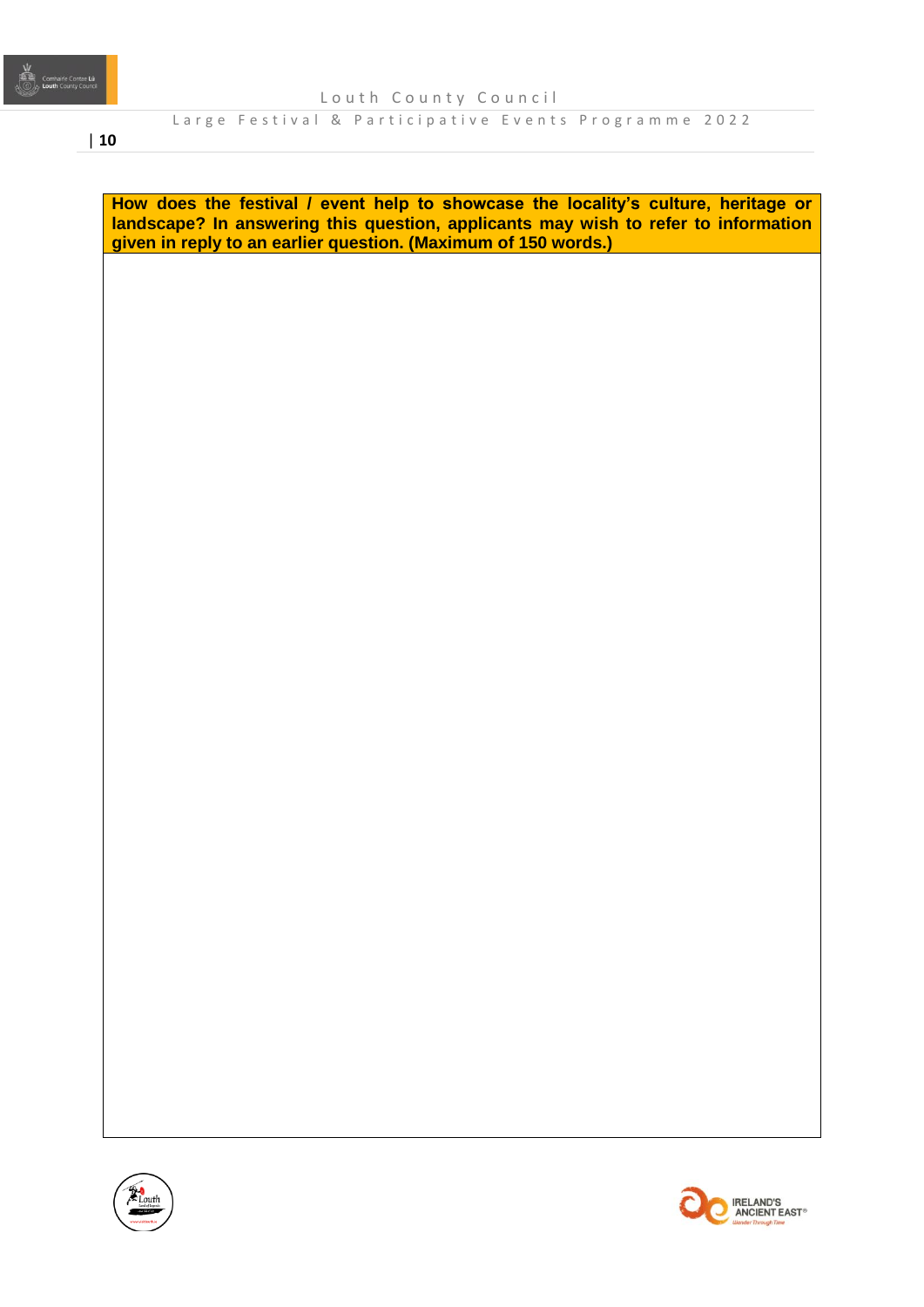

# | **10**

**How does the festival / event help to showcase the locality's culture, heritage or landscape? In answering this question, applicants may wish to refer to information given in reply to an earlier question. (Maximum of 150 words.)**



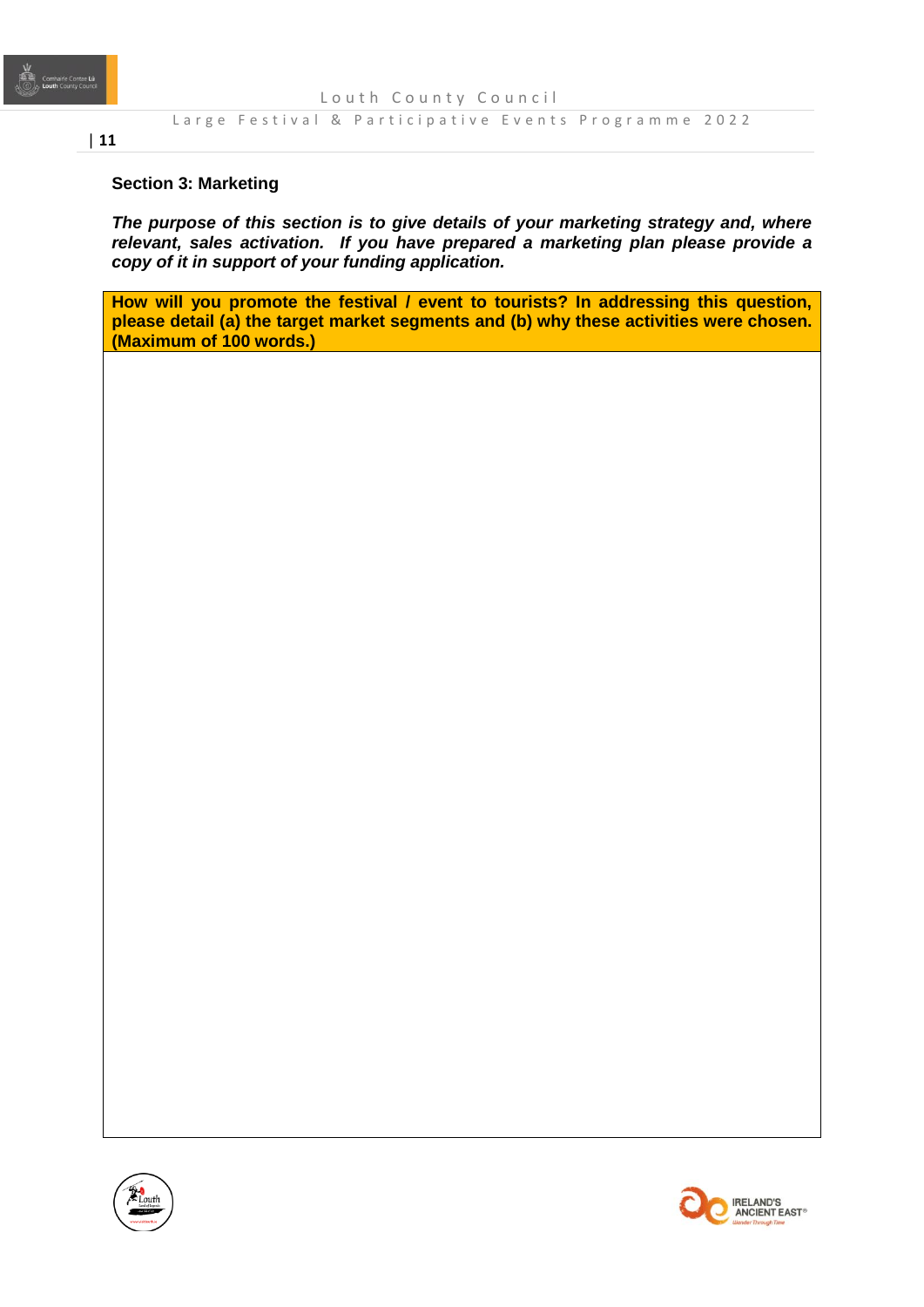

#### Large Festival & Participative Events Programme 2022

#### **Section 3: Marketing**

*The purpose of this section is to give details of your marketing strategy and, where relevant, sales activation. If you have prepared a marketing plan please provide a copy of it in support of your funding application.* 

**How will you promote the festival / event to tourists? In addressing this question, please detail (a) the target market segments and (b) why these activities were chosen. (Maximum of 100 words.)**



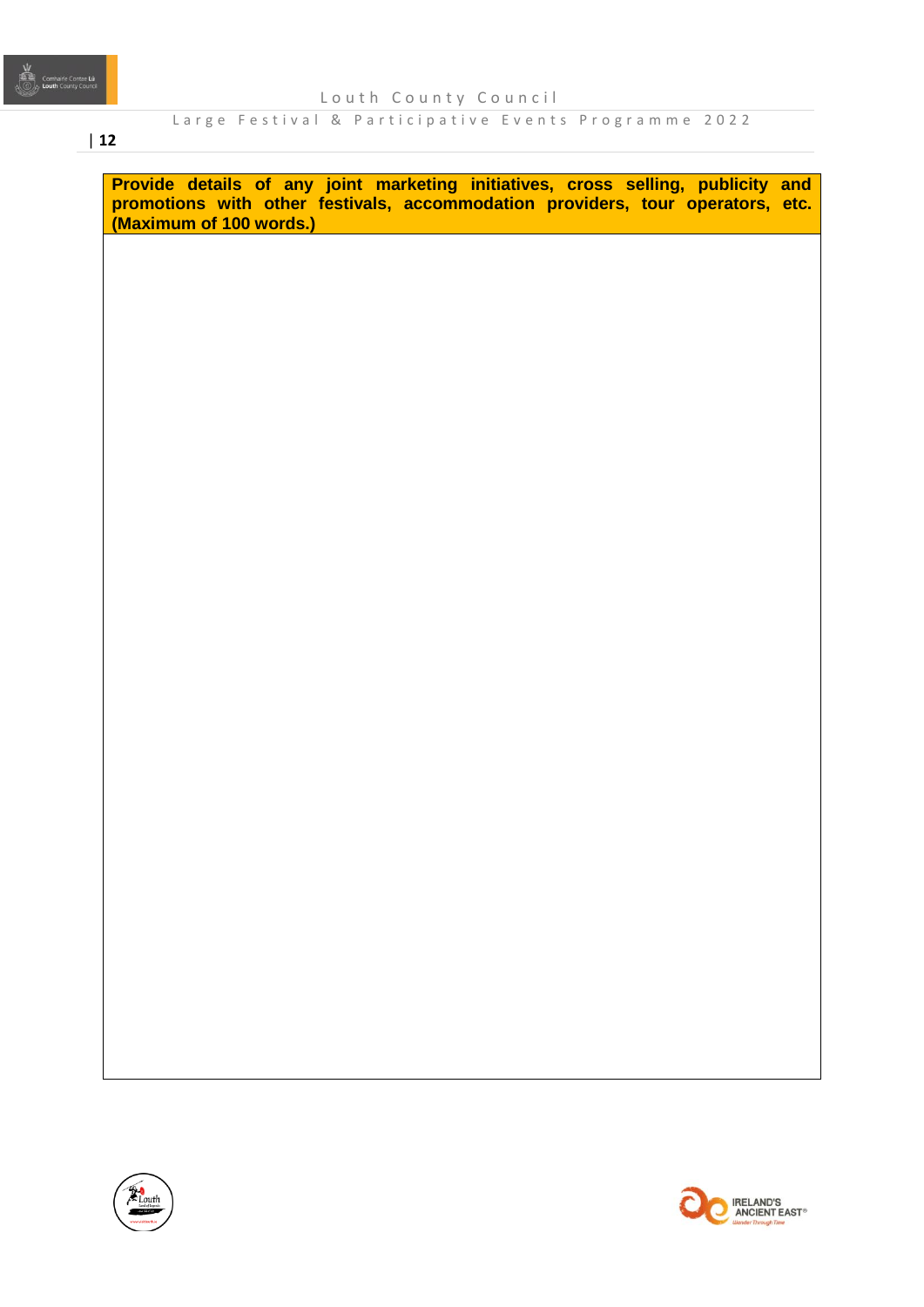#### | **12**

**Provide details of any joint marketing initiatives, cross selling, publicity and promotions with other festivals, accommodation providers, tour operators, etc. (Maximum of 100 words.)**



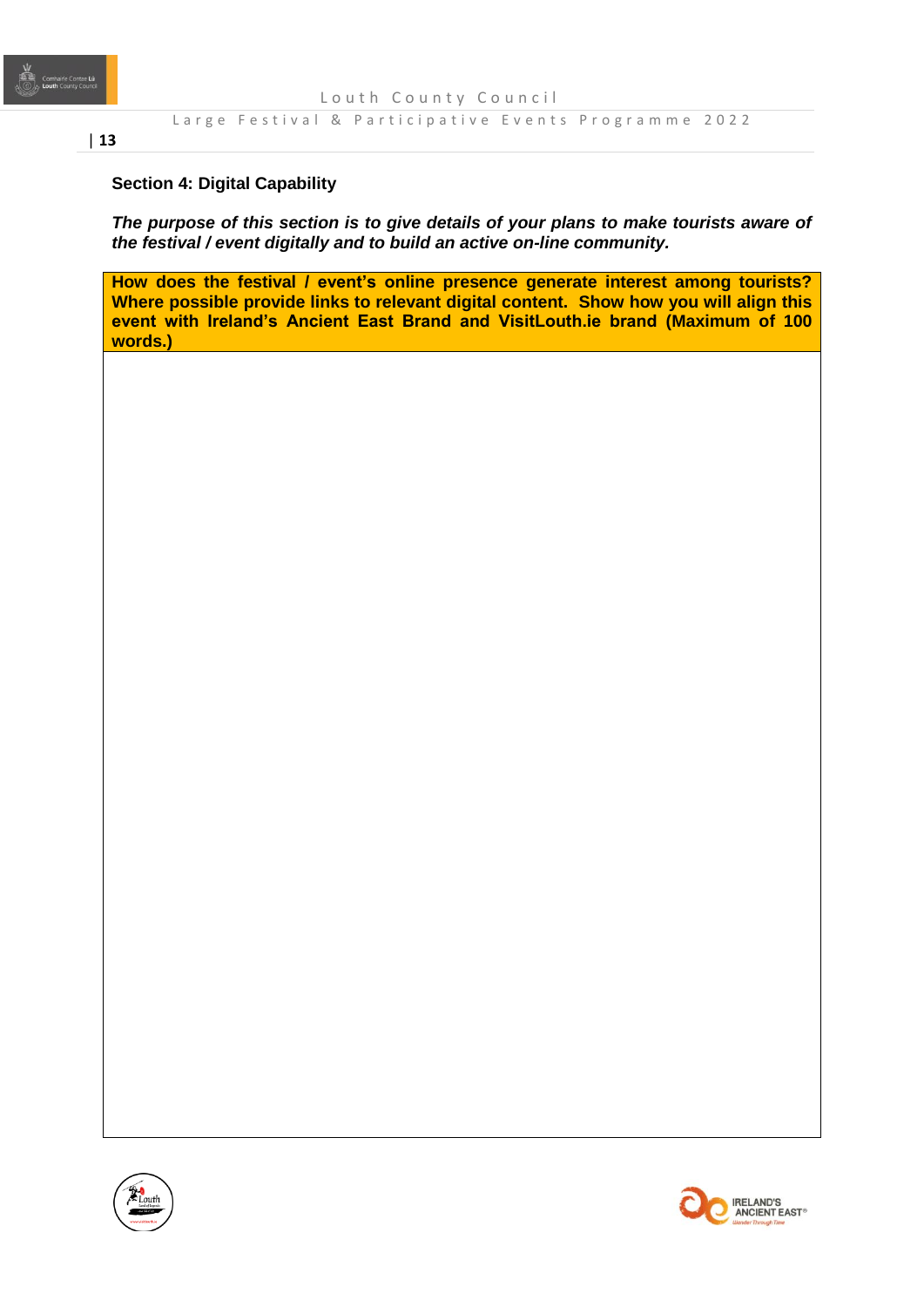

#### Large Festival & Participative Events Programme 2022

### **Section 4: Digital Capability**

*The purpose of this section is to give details of your plans to make tourists aware of the festival / event digitally and to build an active on-line community.* 

**How does the festival / event's online presence generate interest among tourists? Where possible provide links to relevant digital content. Show how you will align this event with Ireland's Ancient East Brand and VisitLouth.ie brand (Maximum of 100 words.)**



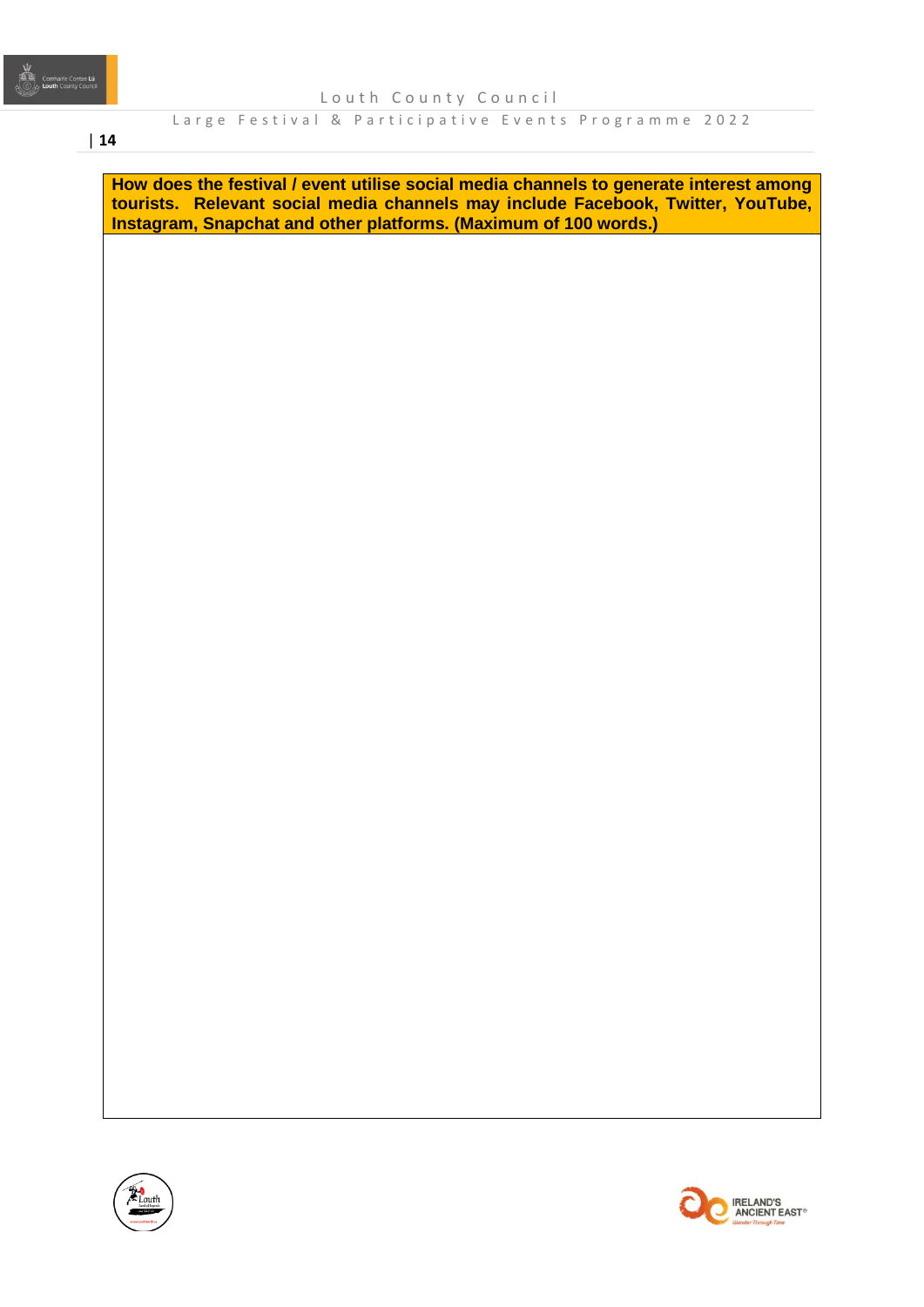# | **14**

**How does the festival / event utilise social media channels to generate interest among tourists. Relevant social media channels may include Facebook, Twitter, YouTube, Instagram, Snapchat and other platforms. (Maximum of 100 words.)**



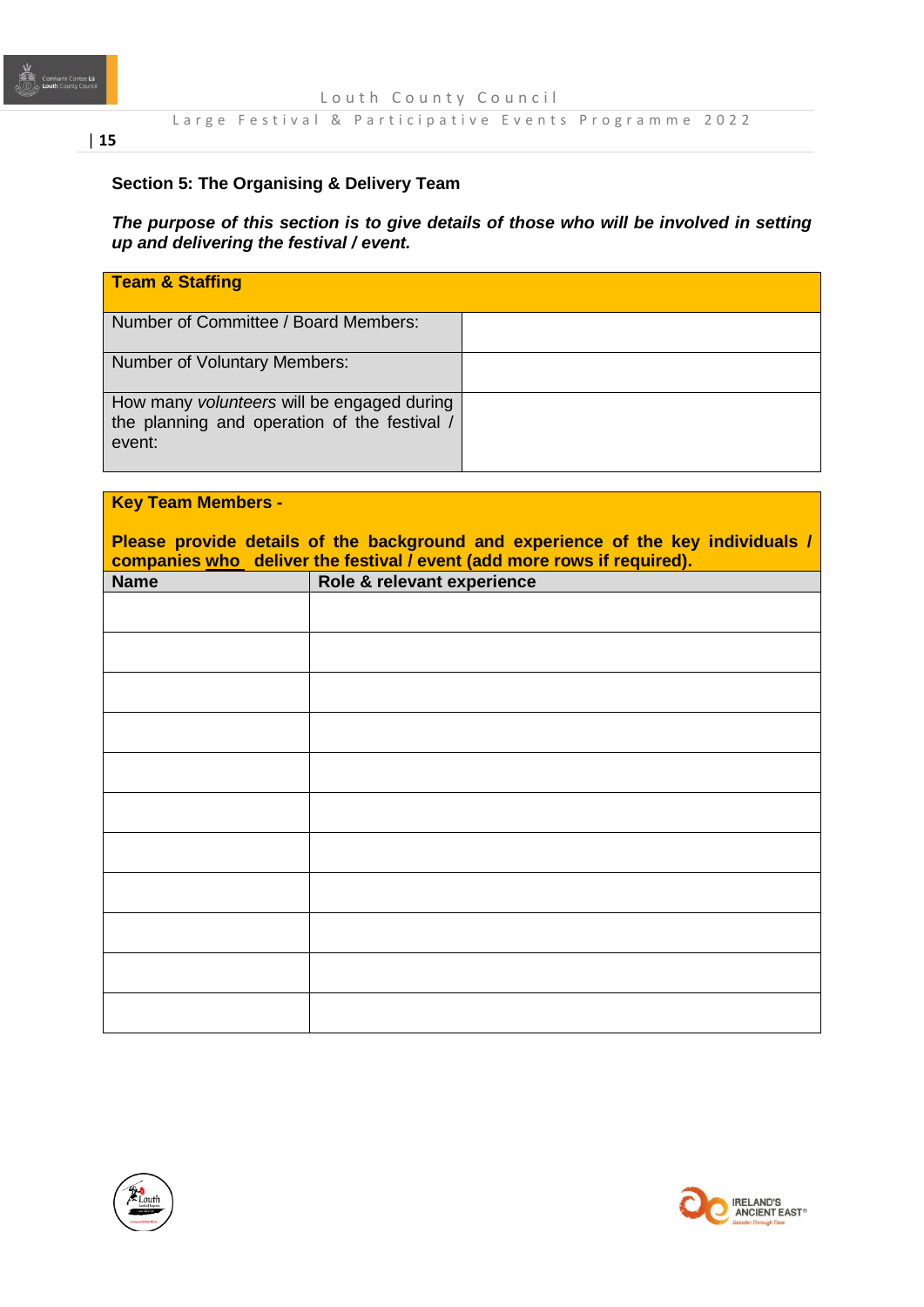

#### Large Festival & Participative Events Programme 2022

# **Section 5: The Organising & Delivery Team**

*The purpose of this section is to give details of those who will be involved in setting up and delivering the festival / event.* 

| Team & Staffing                                                                                      |  |
|------------------------------------------------------------------------------------------------------|--|
| Number of Committee / Board Members:                                                                 |  |
| Number of Voluntary Members:                                                                         |  |
| How many volunteers will be engaged during<br>the planning and operation of the festival /<br>event: |  |

| <b>Key Team Members -</b>                                                                                                                                   |                            |  |  |  |
|-------------------------------------------------------------------------------------------------------------------------------------------------------------|----------------------------|--|--|--|
| Please provide details of the background and experience of the key individuals /<br>companies who deliver the festival / event (add more rows if required). |                            |  |  |  |
| <b>Name</b>                                                                                                                                                 | Role & relevant experience |  |  |  |
|                                                                                                                                                             |                            |  |  |  |
|                                                                                                                                                             |                            |  |  |  |
|                                                                                                                                                             |                            |  |  |  |
|                                                                                                                                                             |                            |  |  |  |
|                                                                                                                                                             |                            |  |  |  |
|                                                                                                                                                             |                            |  |  |  |
|                                                                                                                                                             |                            |  |  |  |
|                                                                                                                                                             |                            |  |  |  |
|                                                                                                                                                             |                            |  |  |  |
|                                                                                                                                                             |                            |  |  |  |
|                                                                                                                                                             |                            |  |  |  |



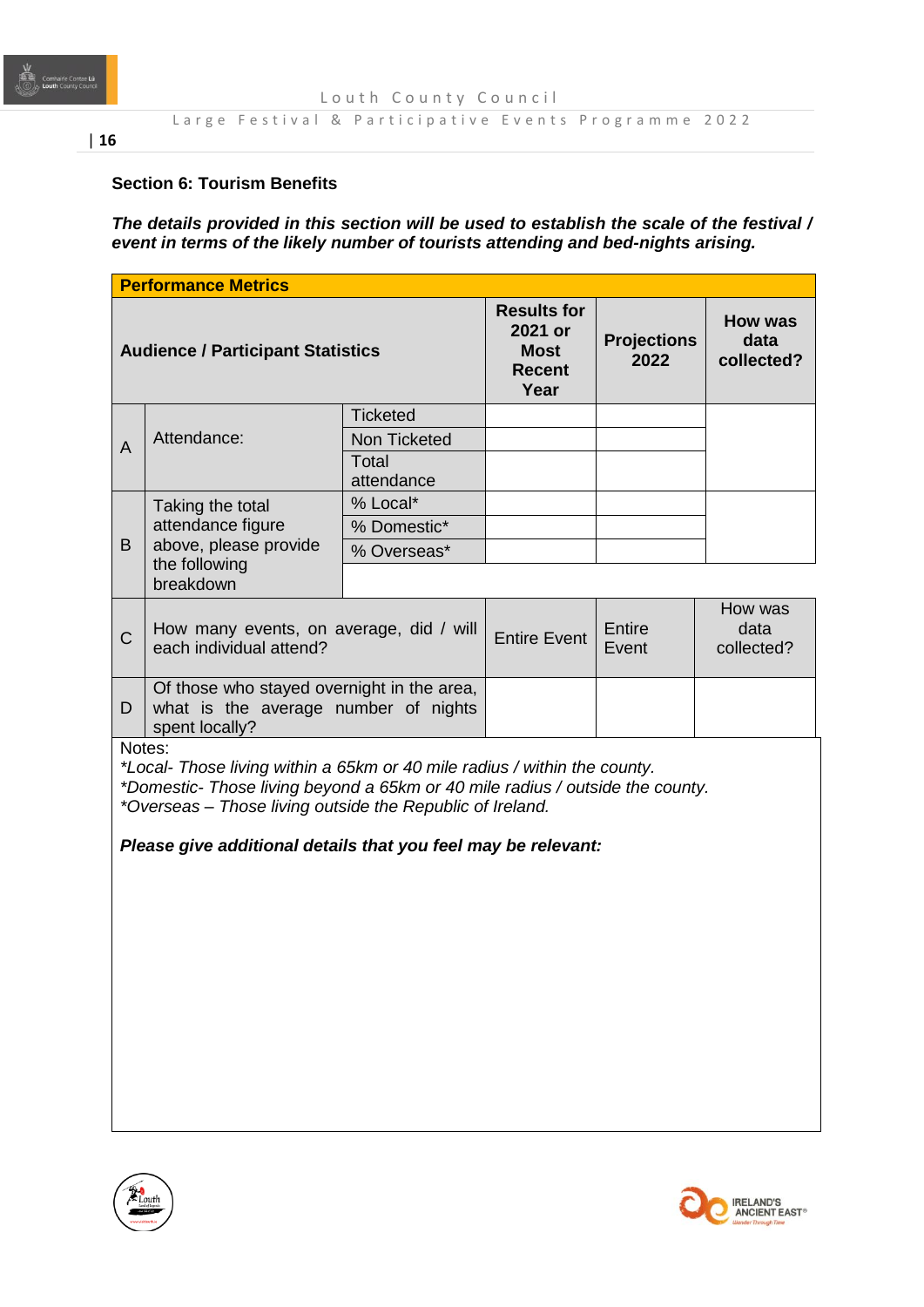

# Large Festival & Participative Events Programme 2022

# **Section 6: Tourism Benefits**

*The details provided in this section will be used to establish the scale of the festival / event in terms of the likely number of tourists attending and bed-nights arising.* 

| <b>Performance Metrics</b>                                                                                                                                                                                                                                                                         |                                        |                                                                       |                            |                                      |         |
|----------------------------------------------------------------------------------------------------------------------------------------------------------------------------------------------------------------------------------------------------------------------------------------------------|----------------------------------------|-----------------------------------------------------------------------|----------------------------|--------------------------------------|---------|
| <b>Audience / Participant Statistics</b>                                                                                                                                                                                                                                                           |                                        | <b>Results for</b><br>2021 or<br><b>Most</b><br><b>Recent</b><br>Year | <b>Projections</b><br>2022 | <b>How was</b><br>data<br>collected? |         |
|                                                                                                                                                                                                                                                                                                    |                                        | <b>Ticketed</b>                                                       |                            |                                      |         |
| A                                                                                                                                                                                                                                                                                                  | Attendance:                            | Non Ticketed                                                          |                            |                                      |         |
|                                                                                                                                                                                                                                                                                                    |                                        | Total<br>attendance                                                   |                            |                                      |         |
|                                                                                                                                                                                                                                                                                                    | Taking the total                       | % Local*                                                              |                            |                                      |         |
|                                                                                                                                                                                                                                                                                                    | attendance figure                      | % Domestic*                                                           |                            |                                      |         |
| B                                                                                                                                                                                                                                                                                                  | above, please provide<br>the following | % Overseas*                                                           |                            |                                      |         |
|                                                                                                                                                                                                                                                                                                    | breakdown                              |                                                                       |                            |                                      |         |
|                                                                                                                                                                                                                                                                                                    |                                        |                                                                       |                            |                                      | How was |
| How many events, on average, did / will<br>$\mathsf C$<br>each individual attend?                                                                                                                                                                                                                  |                                        | <b>Entire Event</b>                                                   | <b>Entire</b><br>Event     | data<br>collected?                   |         |
| Of those who stayed overnight in the area,<br>what is the average number of nights<br>D<br>spent locally?                                                                                                                                                                                          |                                        |                                                                       |                            |                                      |         |
| Notes:<br>*Local- Those living within a 65km or 40 mile radius / within the county.<br>*Domestic- Those living beyond a 65km or 40 mile radius / outside the county.<br>*Overseas – Those living outside the Republic of Ireland.<br>Please give additional details that you feel may be relevant: |                                        |                                                                       |                            |                                      |         |
|                                                                                                                                                                                                                                                                                                    |                                        |                                                                       |                            |                                      |         |
|                                                                                                                                                                                                                                                                                                    |                                        |                                                                       |                            |                                      |         |
|                                                                                                                                                                                                                                                                                                    |                                        |                                                                       |                            |                                      |         |
|                                                                                                                                                                                                                                                                                                    |                                        |                                                                       |                            |                                      |         |
|                                                                                                                                                                                                                                                                                                    |                                        |                                                                       |                            |                                      |         |
|                                                                                                                                                                                                                                                                                                    |                                        |                                                                       |                            |                                      |         |
|                                                                                                                                                                                                                                                                                                    |                                        |                                                                       |                            |                                      |         |



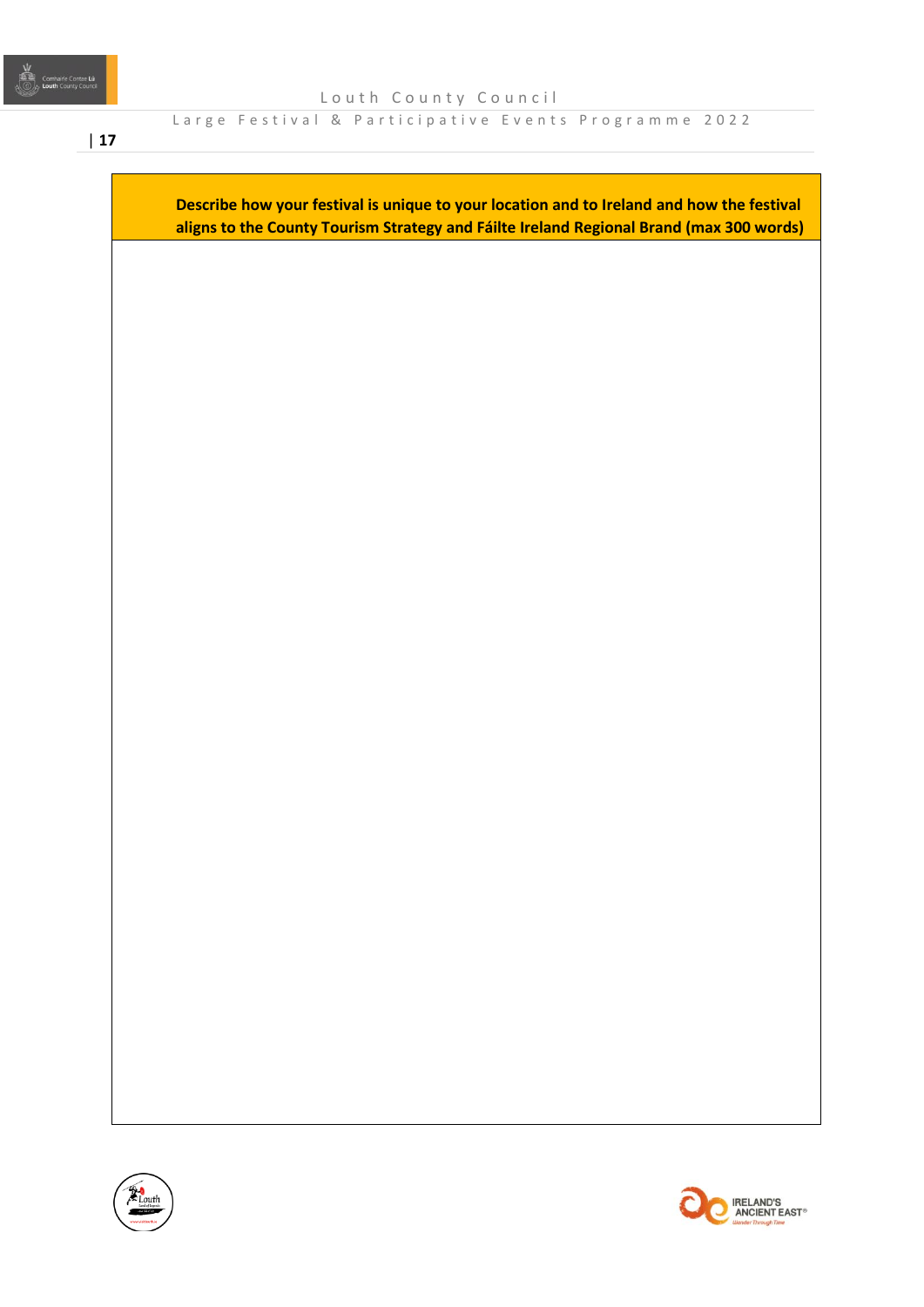Large Festival & Participative Events Programme 2022

**Describe how your festival is unique to your location and to Ireland and how the festival aligns to the County Tourism Strategy and Fáilte Ireland Regional Brand (max 300 words)**



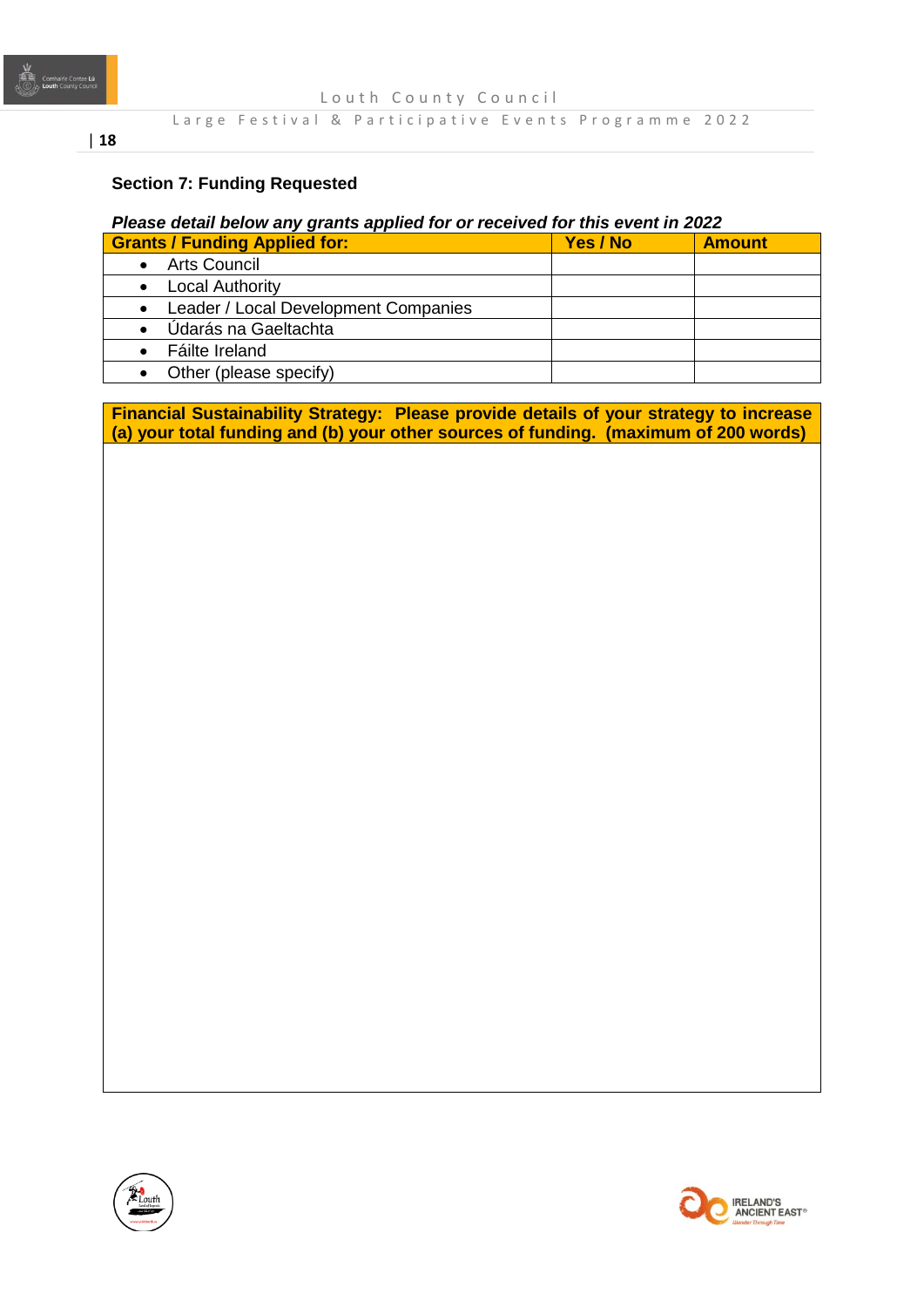

# **Section 7: Funding Requested**

# *Please detail below any grants applied for or received for this event in 2022*

| <b>Grants / Funding Applied for:</b>              | Yes / No | <b>Amount</b> |
|---------------------------------------------------|----------|---------------|
| <b>Arts Council</b>                               |          |               |
| <b>Local Authority</b>                            |          |               |
| Leader / Local Development Companies<br>$\bullet$ |          |               |
| Údarás na Gaeltachta                              |          |               |
| Fáilte Ireland                                    |          |               |
| Other (please specify)                            |          |               |

**Financial Sustainability Strategy: Please provide details of your strategy to increase (a) your total funding and (b) your other sources of funding. (maximum of 200 words)**



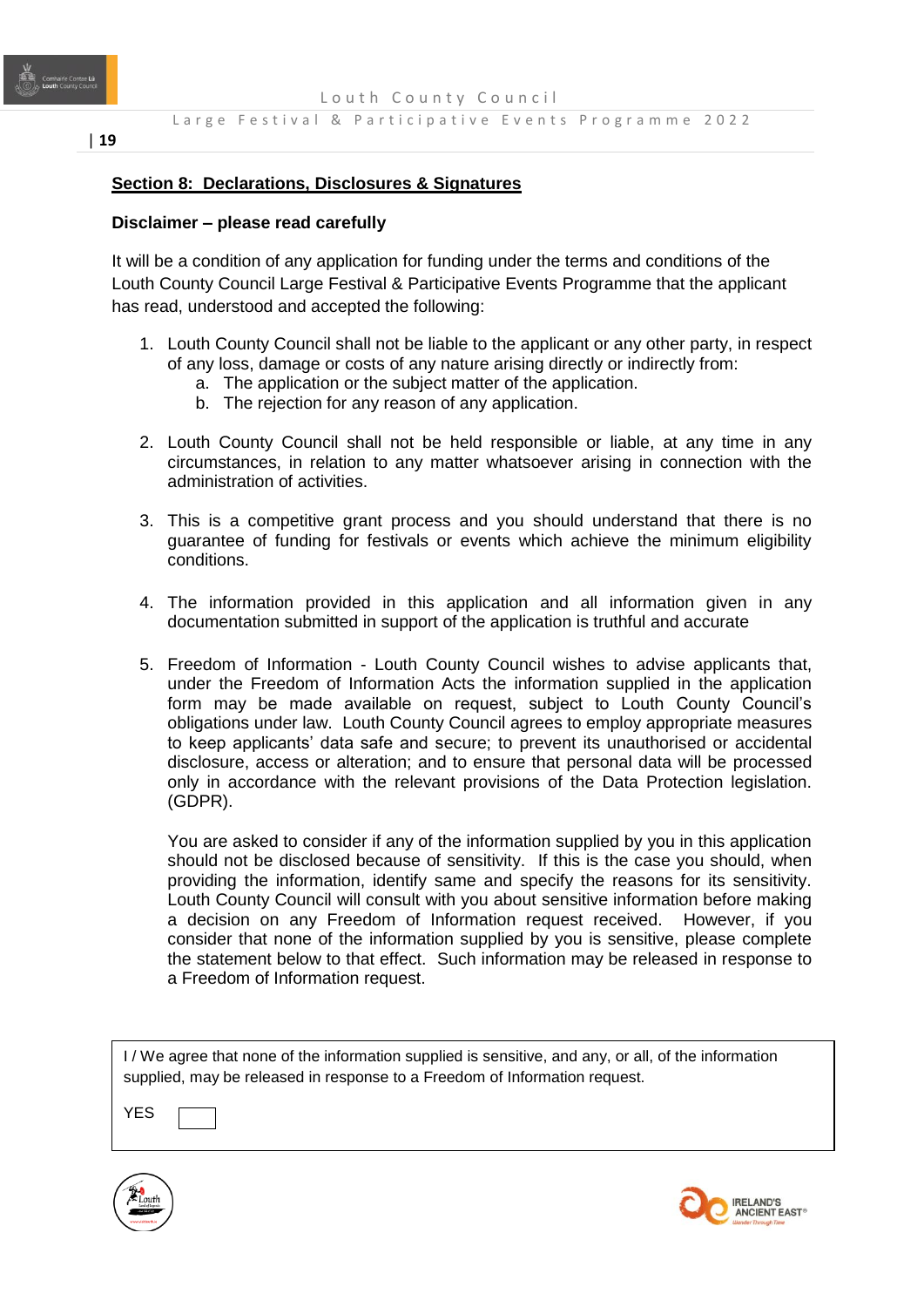

# | **19**

#### **Section 8: Declarations, Disclosures & Signatures**

#### **Disclaimer – please read carefully**

It will be a condition of any application for funding under the terms and conditions of the Louth County Council Large Festival & Participative Events Programme that the applicant has read, understood and accepted the following:

- 1. Louth County Council shall not be liable to the applicant or any other party, in respect of any loss, damage or costs of any nature arising directly or indirectly from:
	- a. The application or the subject matter of the application.
	- b. The rejection for any reason of any application.
- 2. Louth County Council shall not be held responsible or liable, at any time in any circumstances, in relation to any matter whatsoever arising in connection with the administration of activities.
- 3. This is a competitive grant process and you should understand that there is no guarantee of funding for festivals or events which achieve the minimum eligibility conditions.
- 4. The information provided in this application and all information given in any documentation submitted in support of the application is truthful and accurate
- 5. Freedom of Information Louth County Council wishes to advise applicants that, under the Freedom of Information Acts the information supplied in the application form may be made available on request, subject to Louth County Council's obligations under law. Louth County Council agrees to employ appropriate measures to keep applicants' data safe and secure; to prevent its unauthorised or accidental disclosure, access or alteration; and to ensure that personal data will be processed only in accordance with the relevant provisions of the Data Protection legislation. (GDPR).

You are asked to consider if any of the information supplied by you in this application should not be disclosed because of sensitivity. If this is the case you should, when providing the information, identify same and specify the reasons for its sensitivity. Louth County Council will consult with you about sensitive information before making a decision on any Freedom of Information request received. However, if you consider that none of the information supplied by you is sensitive, please complete the statement below to that effect. Such information may be released in response to a Freedom of Information request.

I / We agree that none of the information supplied is sensitive, and any, or all, of the information supplied, may be released in response to a Freedom of Information request.

YES



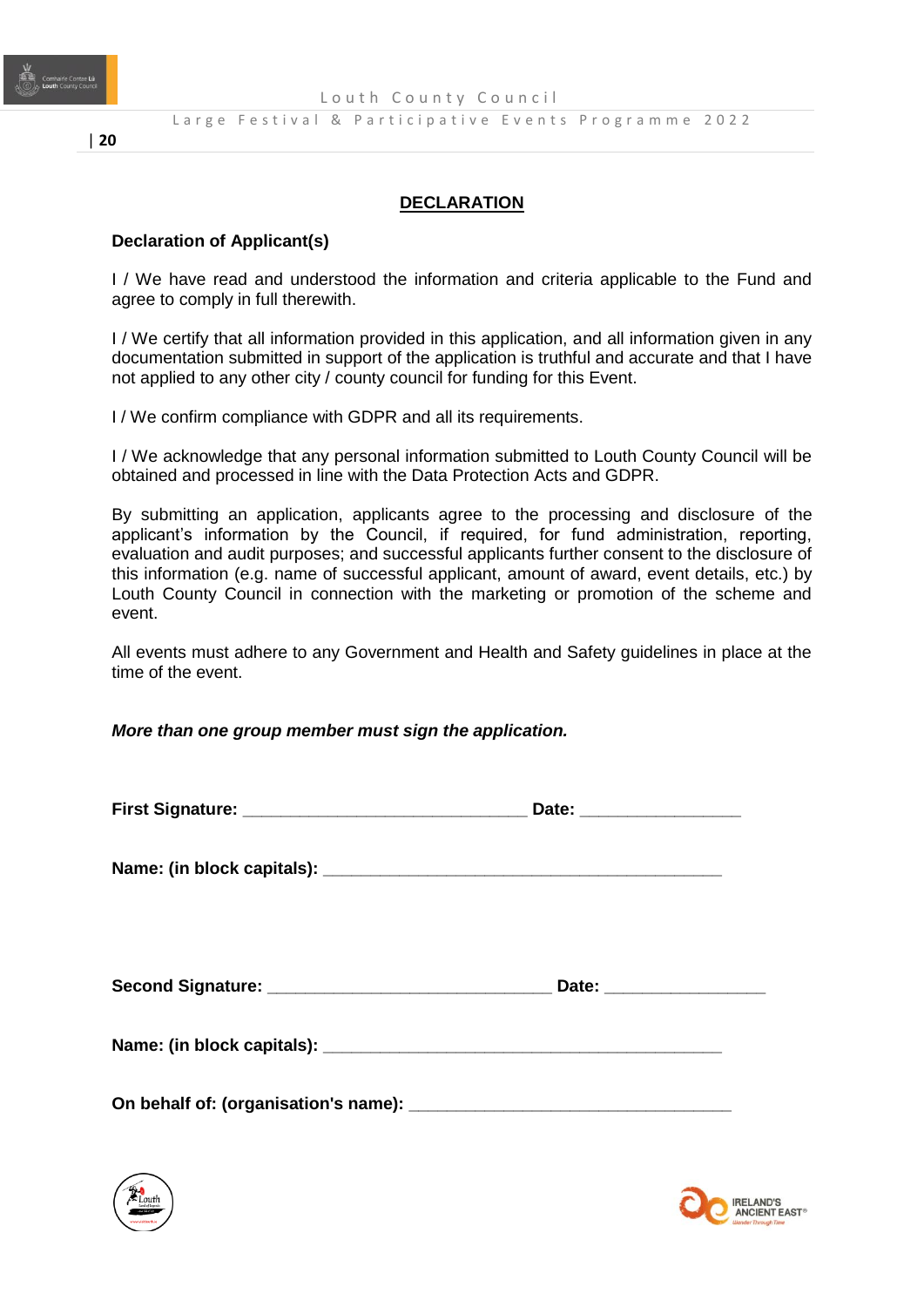

# **DECLARATION**

#### **Declaration of Applicant(s)**

I / We have read and understood the information and criteria applicable to the Fund and agree to comply in full therewith.

I / We certify that all information provided in this application, and all information given in any documentation submitted in support of the application is truthful and accurate and that I have not applied to any other city / county council for funding for this Event.

I / We confirm compliance with GDPR and all its requirements.

I / We acknowledge that any personal information submitted to Louth County Council will be obtained and processed in line with the Data Protection Acts and GDPR.

By submitting an application, applicants agree to the processing and disclosure of the applicant's information by the Council, if required, for fund administration, reporting, evaluation and audit purposes; and successful applicants further consent to the disclosure of this information (e.g. name of successful applicant, amount of award, event details, etc.) by Louth County Council in connection with the marketing or promotion of the scheme and event.

All events must adhere to any Government and Health and Safety guidelines in place at the time of the event.

#### *More than one group member must sign the application.*

| Date: ___________________ |
|---------------------------|
|                           |
|                           |
|                           |
|                           |